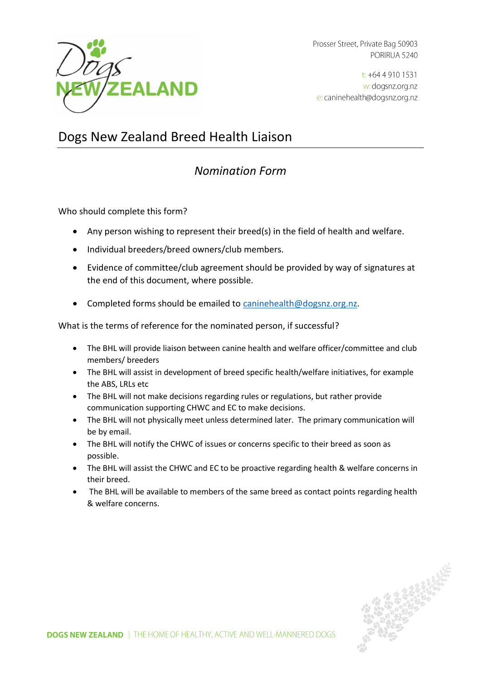

Prosser Street, Private Bag 50903 PORIRUA 5240

 $t$ : +64 4 910 1531 w: dogsnz.org.nz e: caninehealth@dogsnz.org.nz

# Dogs New Zealand Breed Health Liaison

## *Nomination Form*

Who should complete this form?

- Any person wishing to represent their breed(s) in the field of health and welfare.
- Individual breeders/breed owners/club members.
- Evidence of committee/club agreement should be provided by way of signatures at the end of this document, where possible.
- Completed forms should be emailed to [caninehealth@dogsnz.org.nz.](mailto:caninehealth@dogsnz.org.nz)

What is the terms of reference for the nominated person, if successful?

- The BHL will provide liaison between canine health and welfare officer/committee and club members/ breeders
- The BHL will assist in development of breed specific health/welfare initiatives, for example the ABS, LRLs etc
- The BHL will not make decisions regarding rules or regulations, but rather provide communication supporting CHWC and EC to make decisions.
- The BHL will not physically meet unless determined later. The primary communication will be by email.
- The BHL will notify the CHWC of issues or concerns specific to their breed as soon as possible.
- The BHL will assist the CHWC and EC to be proactive regarding health & welfare concerns in their breed.
- The BHL will be available to members of the same breed as contact points regarding health & welfare concerns.

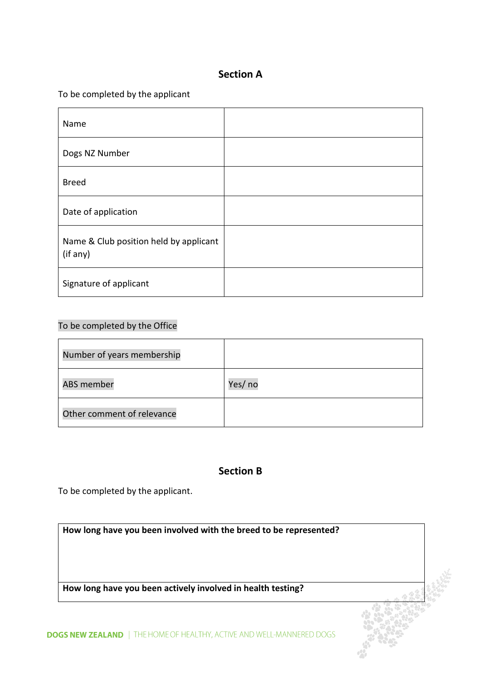## **Section A**

#### To be completed by the applicant

| Name                                               |  |
|----------------------------------------------------|--|
| Dogs NZ Number                                     |  |
| <b>Breed</b>                                       |  |
| Date of application                                |  |
| Name & Club position held by applicant<br>(if any) |  |
| Signature of applicant                             |  |

### To be completed by the Office

| Number of years membership |         |
|----------------------------|---------|
| <b>ABS member</b>          | Yes/ no |
| Other comment of relevance |         |

## **Section B**

To be completed by the applicant.

**How long have you been involved with the breed to be represented?**

**How long have you been actively involved in health testing?**

**DOGS NEW ZEALAND** | THE HOME OF HEALTHY, ACTIVE AND WELL-MANNERED DOGS